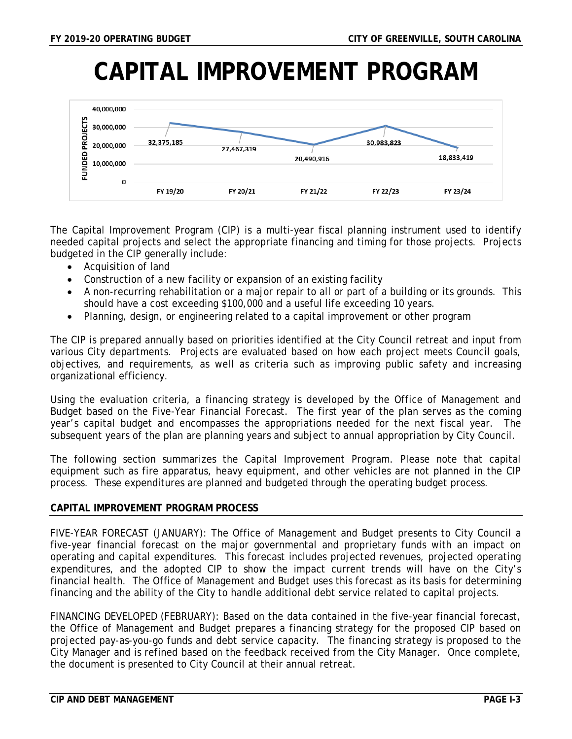# **CAPITAL IMPROVEMENT PROGRAM**



The Capital Improvement Program (CIP) is a multi-year fiscal planning instrument used to identify needed capital projects and select the appropriate financing and timing for those projects. Projects budgeted in the CIP generally include:

- Acquisition of land
- Construction of a new facility or expansion of an existing facility
- A non-recurring rehabilitation or a major repair to all or part of a building or its grounds. This should have a cost exceeding \$100,000 and a useful life exceeding 10 years.
- Planning, design, or engineering related to a capital improvement or other program

The CIP is prepared annually based on priorities identified at the City Council retreat and input from various City departments. Projects are evaluated based on how each project meets Council goals, objectives, and requirements, as well as criteria such as improving public safety and increasing organizational efficiency.

Using the evaluation criteria, a financing strategy is developed by the Office of Management and Budget based on the Five-Year Financial Forecast. The first year of the plan serves as the coming year's capital budget and encompasses the appropriations needed for the next fiscal year. The subsequent years of the plan are planning years and subject to annual appropriation by City Council.

The following section summarizes the Capital Improvement Program. Please note that capital equipment such as fire apparatus, heavy equipment, and other vehicles are not planned in the CIP process. These expenditures are planned and budgeted through the operating budget process.

### **CAPITAL IMPROVEMENT PROGRAM PROCESS**

*FIVE-YEAR FORECAST (JANUARY):* The Office of Management and Budget presents to City Council a five-year financial forecast on the major governmental and proprietary funds with an impact on operating and capital expenditures. This forecast includes projected revenues, projected operating expenditures, and the adopted CIP to show the impact current trends will have on the City's financial health. The Office of Management and Budget uses this forecast as its basis for determining financing and the ability of the City to handle additional debt service related to capital projects.

*FINANCING DEVELOPED (FEBRUARY):* Based on the data contained in the five-year financial forecast, the Office of Management and Budget prepares a financing strategy for the proposed CIP based on projected pay-as-you-go funds and debt service capacity. The financing strategy is proposed to the City Manager and is refined based on the feedback received from the City Manager. Once complete, the document is presented to City Council at their annual retreat.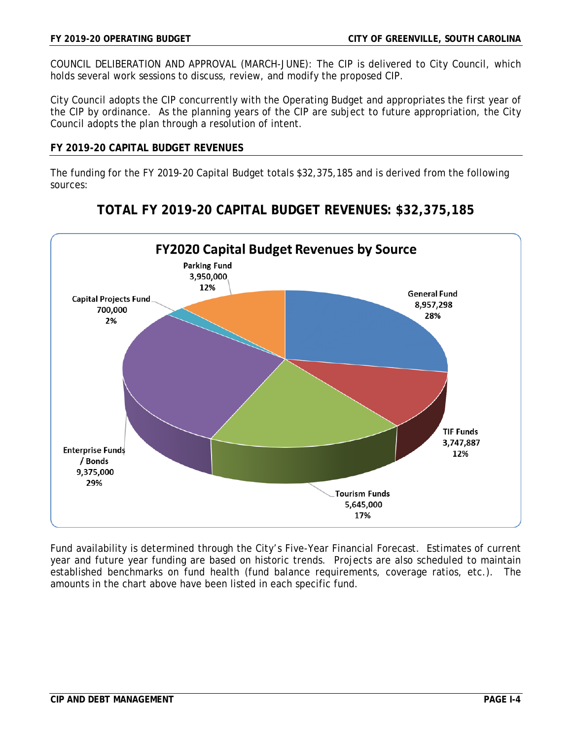*COUNCIL DELIBERATION AND APPROVAL (MARCH-JUNE):* The CIP is delivered to City Council, which holds several work sessions to discuss, review, and modify the proposed CIP.

City Council adopts the CIP concurrently with the Operating Budget and appropriates the first year of the CIP by ordinance. As the planning years of the CIP are subject to future appropriation, the City Council adopts the plan through a resolution of intent.

#### **FY 2019-20 CAPITAL BUDGET REVENUES**

The funding for the FY 2019-20 Capital Budget totals \$32,375,185 and is derived from the following sources:



**TOTAL FY 2019-20 CAPITAL BUDGET REVENUES: \$32,375,185**

Fund availability is determined through the City's Five-Year Financial Forecast. Estimates of current year and future year funding are based on historic trends. Projects are also scheduled to maintain established benchmarks on fund health (fund balance requirements, coverage ratios, etc.). The amounts in the chart above have been listed in each specific fund.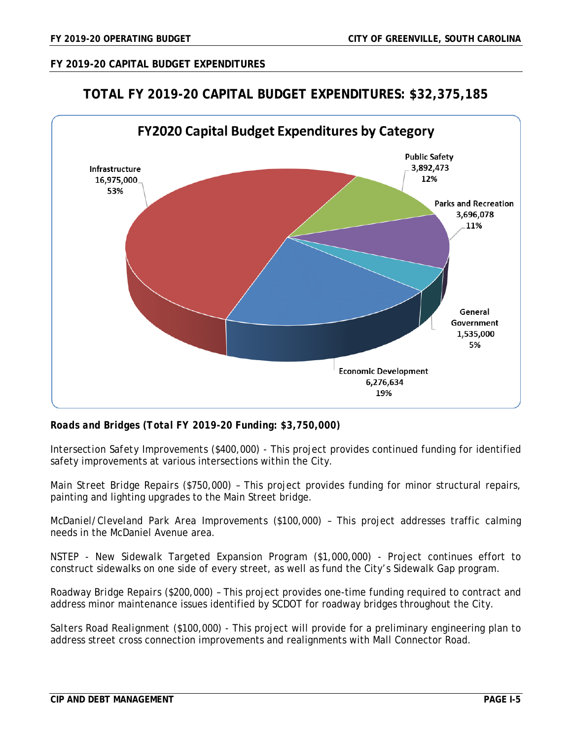# **FY 2019-20 CAPITAL BUDGET EXPENDITURES**

# **TOTAL FY 2019-20 CAPITAL BUDGET EXPENDITURES: \$32,375,185**



*Roads and Bridges (Total FY 2019-20 Funding: \$3,750,000)*

*Intersection Safety Improvements (\$400,000) -* This project provides continued funding for identified safety improvements at various intersections within the City.

*Main Street Bridge Repairs (\$750,000) –* This project provides funding for minor structural repairs, painting and lighting upgrades to the Main Street bridge.

*McDaniel/Cleveland Park Area Improvements (\$100,000) –* This project addresses traffic calming needs in the McDaniel Avenue area.

*NSTEP - New Sidewalk Targeted Expansion Program (\$1,000,000) -* Project continues effort to construct sidewalks on one side of every street, as well as fund the City's Sidewalk Gap program.

*Roadway Bridge Repairs (\$200,000) –* This project provides one-time funding required to contract and address minor maintenance issues identified by SCDOT for roadway bridges throughout the City.

*Salters Road Realignment (\$100,000) -* This project will provide for a preliminary engineering plan to address street cross connection improvements and realignments with Mall Connector Road.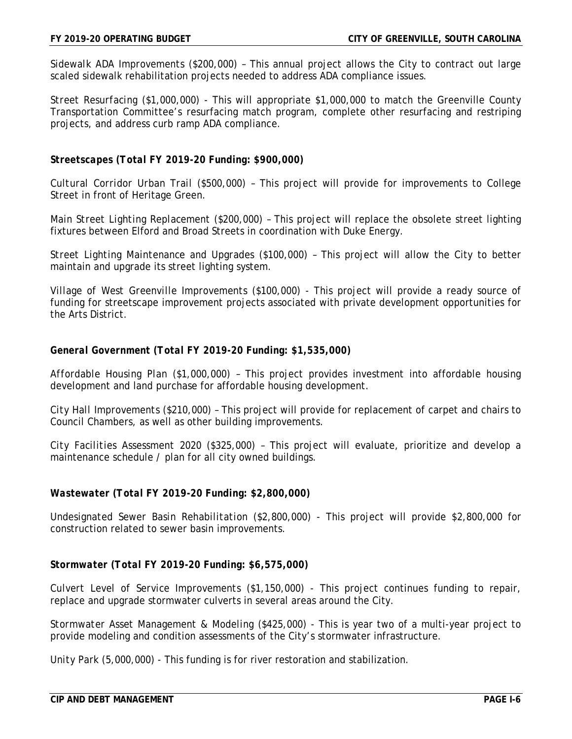*Sidewalk ADA Improvements (\$200,000) –* This annual project allows the City to contract out large scaled sidewalk rehabilitation projects needed to address ADA compliance issues.

*Street Resurfacing (\$1,000,000) -* This will appropriate \$1,000,000 to match the Greenville County Transportation Committee's resurfacing match program, complete other resurfacing and restriping projects, and address curb ramp ADA compliance.

### *Streetscapes (Total FY 2019-20 Funding: \$900,000)*

*Cultural Corridor Urban Trail (\$500,000) –* This project will provide for improvements to College Street in front of Heritage Green.

*Main Street Lighting Replacement (\$200,000) –* This project will replace the obsolete street lighting fixtures between Elford and Broad Streets in coordination with Duke Energy.

*Street Lighting Maintenance and Upgrades (\$100,000) –* This project will allow the City to better maintain and upgrade its street lighting system.

*Village of West Greenville Improvements (\$100,000) -* This project will provide a ready source of funding for streetscape improvement projects associated with private development opportunities for the Arts District.

### *General Government (Total FY 2019-20 Funding: \$1,535,000)*

*Affordable Housing Plan (\$1,000,000) –* This project provides investment into affordable housing development and land purchase for affordable housing development.

*City Hall Improvements (\$210,000) –* This project will provide for replacement of carpet and chairs to Council Chambers, as well as other building improvements.

*City Facilities Assessment 2020 (\$325,000) –* This project will evaluate, prioritize and develop a maintenance schedule / plan for all city owned buildings.

### *Wastewater (Total FY 2019-20 Funding: \$2,800,000)*

*Undesignated Sewer Basin Rehabilitation (\$2,800,000) -* This project will provide \$2,800,000 for construction related to sewer basin improvements.

### *Stormwater (Total FY 2019-20 Funding: \$6,575,000)*

*Culvert Level of Service Improvements (\$1,150,000) -* This project continues funding to repair, replace and upgrade stormwater culverts in several areas around the City.

*Stormwater Asset Management & Modeling (\$425,000) -* This is year two of a multi-year project to provide modeling and condition assessments of the City's stormwater infrastructure.

*Unity Park (5,000,000) -* This funding is for river restoration and stabilization.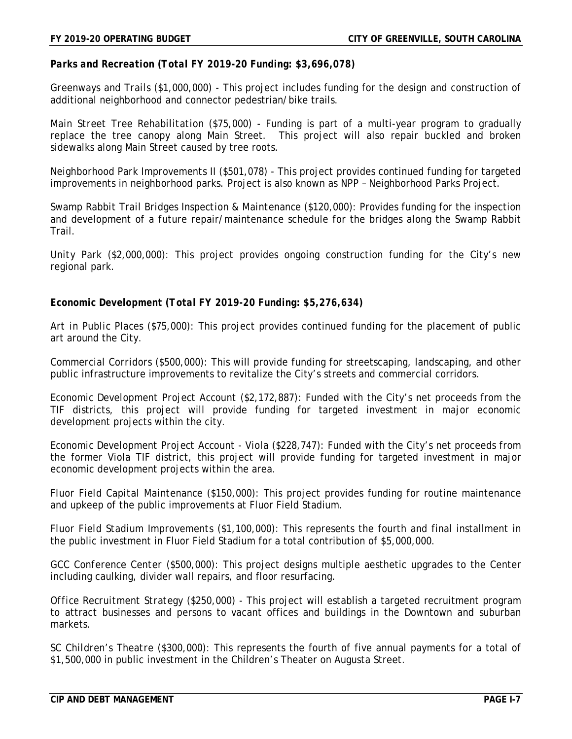*Parks and Recreation (Total FY 2019-20 Funding: \$3,696,078)*

*Greenways and Trails (\$1,000,000) -* This project includes funding for the design and construction of additional neighborhood and connector pedestrian/bike trails.

*Main Street Tree Rehabilitation (\$75,000) -* Funding is part of a multi-year program to gradually replace the tree canopy along Main Street. This project will also repair buckled and broken sidewalks along Main Street caused by tree roots.

*Neighborhood Park Improvements II (\$501,078) -* This project provides continued funding for targeted improvements in neighborhood parks. Project is also known as NPP – Neighborhood Parks Project.

*Swamp Rabbit Trail Bridges Inspection & Maintenance (\$120,000):* Provides funding for the inspection and development of a future repair/maintenance schedule for the bridges along the Swamp Rabbit Trail.

*Unity Park (\$2,000,000):* This project provides ongoing construction funding for the City's new regional park.

*Economic Development (Total FY 2019-20 Funding: \$5,276,634)*

*Art in Public Places (\$75,000):* This project provides continued funding for the placement of public art around the City.

*Commercial Corridors (\$500,000):* This will provide funding for streetscaping, landscaping, and other public infrastructure improvements to revitalize the City's streets and commercial corridors.

*Economic Development Project Account (\$2,172,887):* Funded with the City's net proceeds from the TIF districts, this project will provide funding for targeted investment in major economic development projects within the city.

*Economic Development Project Account - Viola (\$228,747):* Funded with the City's net proceeds from the former Viola TIF district, this project will provide funding for targeted investment in major economic development projects within the area.

*Fluor Field Capital Maintenance (\$150,000):* This project provides funding for routine maintenance and upkeep of the public improvements at Fluor Field Stadium.

*Fluor Field Stadium Improvements (\$1,100,000):* This represents the fourth and final installment in the public investment in Fluor Field Stadium for a total contribution of \$5,000,000.

*GCC Conference Center (\$500,000):* This project designs multiple aesthetic upgrades to the Center including caulking, divider wall repairs, and floor resurfacing.

*Office Recruitment Strategy (\$250,000) -* This project will establish a targeted recruitment program to attract businesses and persons to vacant offices and buildings in the Downtown and suburban markets.

*SC Children's Theatre (\$300,000):* This represents the fourth of five annual payments for a total of \$1,500,000 in public investment in the Children's Theater on Augusta Street.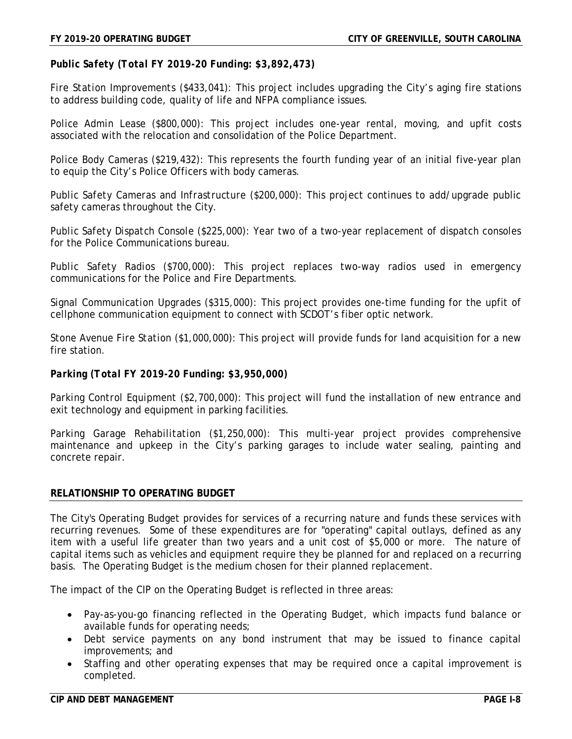*Public Safety (Total FY 2019-20 Funding: \$3,892,473)*

*Fire Station Improvements (\$433,041):* This project includes upgrading the City's aging fire stations to address building code, quality of life and NFPA compliance issues.

*Police Admin Lease (\$800,000):* This project includes one-year rental, moving, and upfit costs associated with the relocation and consolidation of the Police Department.

*Police Body Cameras (\$219,432):* This represents the fourth funding year of an initial five-year plan to equip the City's Police Officers with body cameras.

*Public Safety Cameras and Infrastructure (\$200,000):* This project continues to add/upgrade public safety cameras throughout the City.

*Public Safety Dispatch Console (\$225,000):* Year two of a two-year replacement of dispatch consoles for the Police Communications bureau.

*Public Safety Radios (\$700,000):* This project replaces two-way radios used in emergency communications for the Police and Fire Departments.

*Signal Communication Upgrades (\$315,000):* This project provides one-time funding for the upfit of cellphone communication equipment to connect with SCDOT's fiber optic network.

*Stone Avenue Fire Station (\$1,000,000):* This project will provide funds for land acquisition for a new fire station.

*Parking (Total FY 2019-20 Funding: \$3,950,000)*

*Parking Control Equipment (\$2,700,000):* This project will fund the installation of new entrance and exit technology and equipment in parking facilities.

*Parking Garage Rehabilitation (\$1,250,000):* This multi-year project provides comprehensive maintenance and upkeep in the City's parking garages to include water sealing, painting and concrete repair.

#### **RELATIONSHIP TO OPERATING BUDGET**

The City's Operating Budget provides for services of a recurring nature and funds these services with recurring revenues. Some of these expenditures are for "operating" capital outlays, defined as any item with a useful life greater than two years and a unit cost of \$5,000 or more. The nature of capital items such as vehicles and equipment require they be planned for and replaced on a recurring basis. The Operating Budget is the medium chosen for their planned replacement.

The impact of the CIP on the Operating Budget is reflected in three areas:

- Pay-as-you-go financing reflected in the Operating Budget, which impacts fund balance or available funds for operating needs;
- Debt service payments on any bond instrument that may be issued to finance capital improvements; and
- Staffing and other operating expenses that may be required once a capital improvement is completed.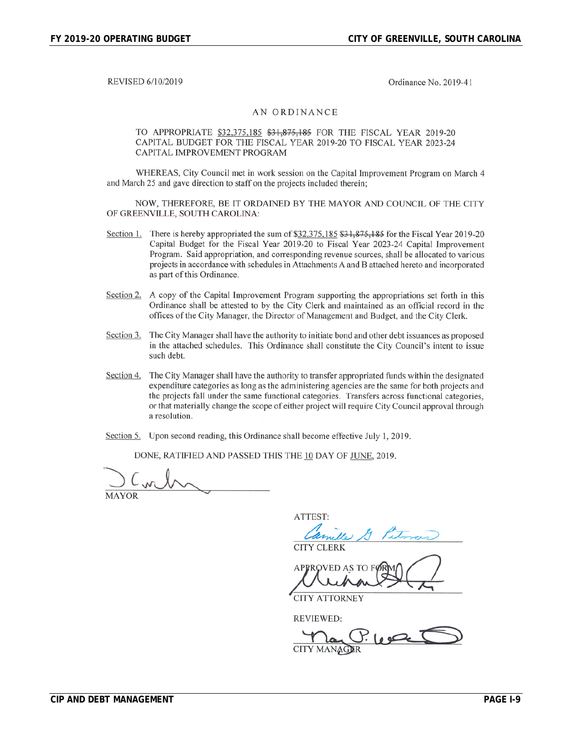REVISED 6/10/2019

Ordinance No. 2019-41

#### AN ORDINANCE

TO APPROPRIATE \$32,375,185 \$31,875,185 FOR THE FISCAL YEAR 2019-20 CAPITAL BUDGET FOR THE FISCAL YEAR 2019-20 TO FISCAL YEAR 2023-24 CAPITAL IMPROVEMENT PROGRAM

WHEREAS, City Council met in work session on the Capital Improvement Program on March 4 and March 25 and gave direction to staff on the projects included therein;

NOW, THEREFORE, BE IT ORDAINED BY THE MAYOR AND COUNCIL OF THE CITY OF GREENVILLE, SOUTH CAROLINA:

- Section 1. There is hereby appropriated the sum of \$32,375,185 \$31,875,185 for the Fiscal Year 2019-20 Capital Budget for the Fiscal Year 2019-20 to Fiscal Year 2023-24 Capital Improvement Program. Said appropriation, and corresponding revenue sources, shall be allocated to various projects in accordance with schedules in Attachments A and B attached hereto and incorporated as part of this Ordinance.
- Section 2. A copy of the Capital Improvement Program supporting the appropriations set forth in this Ordinance shall be attested to by the City Clerk and maintained as an official record in the offices of the City Manager, the Director of Management and Budget, and the City Clerk.
- The City Manager shall have the authority to initiate bond and other debt issuances as proposed Section 3. in the attached schedules. This Ordinance shall constitute the City Council's intent to issue such debt.
- Section 4. The City Manager shall have the authority to transfer appropriated funds within the designated expenditure categories as long as the administering agencies are the same for both projects and the projects fall under the same functional categories. Transfers across functional categories, or that materially change the scope of either project will require City Council approval through a resolution.
- Section 5. Upon second reading, this Ordinance shall become effective July 1, 2019.

DONE, RATIFIED AND PASSED THIS THE 10 DAY OF JUNE, 2019.

**MAYOR** 

ATTEST:

**CITY CLERK** 

APPROVED AS TO

**CITY ATTORNEY** 

**REVIEWED:** 

CITY MANAGER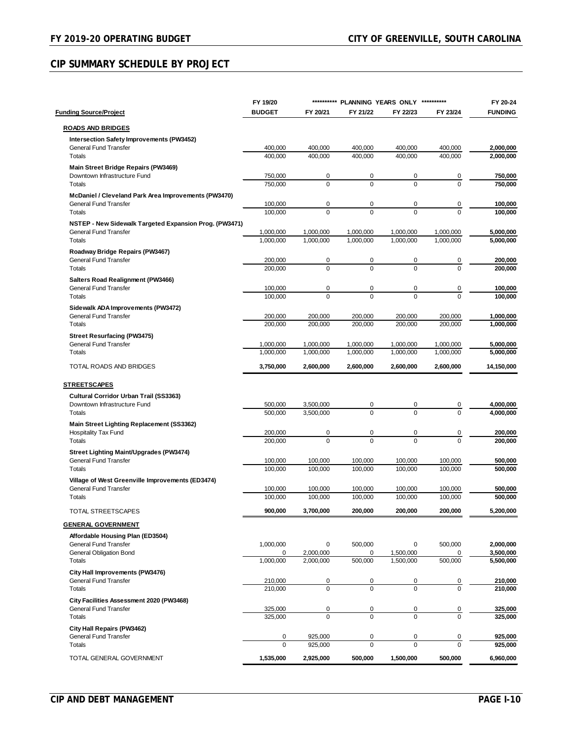# **CIP SUMMARY SCHEDULE BY PROJECT**

|                                                                                  | FY 19/20           |                    | ********** PLANNING YEARS ONLY |                    | **********         | FY 20-24               |
|----------------------------------------------------------------------------------|--------------------|--------------------|--------------------------------|--------------------|--------------------|------------------------|
| <b>Funding Source/Project</b>                                                    | <b>BUDGET</b>      | FY 20/21           | FY 21/22                       | FY 22/23           | FY 23/24           | <b>FUNDING</b>         |
| <b>ROADS AND BRIDGES</b>                                                         |                    |                    |                                |                    |                    |                        |
| Intersection Safety Improvements (PW3452)                                        |                    |                    |                                |                    |                    |                        |
| General Fund Transfer                                                            | 400,000            | 400,000            | 400,000                        | 400,000            | 400,000            | 2,000,000              |
| Totals                                                                           | 400,000            | 400,000            | 400,000                        | 400,000            | 400.000            | 2.000.000              |
| Main Street Bridge Repairs (PW3469)                                              |                    |                    |                                |                    |                    |                        |
| Downtown Infrastructure Fund                                                     | 750,000            | 0                  | 0                              | 0                  | 0                  | 750,000                |
| Totals                                                                           | 750,000            | $\Omega$           | $\Omega$                       | $\Omega$           | $\Omega$           | 750,000                |
| McDaniel / Cleveland Park Area Improvements (PW3470)                             |                    |                    |                                |                    |                    |                        |
| <b>General Fund Transfer</b><br>Totals                                           | 100,000<br>100,000 | 0<br>$\Omega$      | 0<br>$\Omega$                  | 0<br>$\Omega$      | 0<br>$\Omega$      | 100,000<br>100.000     |
| NSTEP - New Sidewalk Targeted Expansion Prog. (PW3471)                           |                    |                    |                                |                    |                    |                        |
| General Fund Transfer                                                            | 1,000,000          | 1,000,000          | 1,000,000                      | 1,000,000          | 1,000,000          | 5,000,000              |
| Totals                                                                           | 1,000,000          | 1,000,000          | 1,000,000                      | 1,000,000          | 1,000,000          | 5,000,000              |
| Roadway Bridge Repairs (PW3467)                                                  |                    |                    |                                |                    |                    |                        |
| General Fund Transfer                                                            | 200,000            | 0                  | 0                              | 0                  | 0                  | 200,000                |
| Totals                                                                           | 200,000            | $\Omega$           | $\Omega$                       | $\Omega$           | $\Omega$           | 200,000                |
| Salters Road Realignment (PW3466)                                                |                    |                    |                                |                    |                    |                        |
| <b>General Fund Transfer</b>                                                     | 100,000            | 0                  | 0                              | 0                  | 0                  | 100,000                |
| Totals                                                                           | 100,000            | $\Omega$           | $\Omega$                       | $\Omega$           | $\Omega$           | 100,000                |
| Sidewalk ADA Improvements (PW3472)                                               |                    |                    |                                |                    |                    |                        |
| <b>General Fund Transfer</b><br>Totals                                           | 200,000<br>200,000 | 200,000<br>200,000 | 200,000<br>200,000             | 200,000<br>200,000 | 200,000<br>200.000 | 1,000,000<br>1,000,000 |
|                                                                                  |                    |                    |                                |                    |                    |                        |
| <b>Street Resurfacing (PW3475)</b><br><b>General Fund Transfer</b>               | 1,000,000          | 1,000,000          | 1,000,000                      | 1,000,000          | 1,000,000          | 5,000,000              |
| Totals                                                                           | 1,000,000          | 1,000,000          | 1,000,000                      | 1,000,000          | 1,000,000          | 5,000,000              |
| TOTAL ROADS AND BRIDGES                                                          | 3,750,000          | 2,600,000          | 2,600,000                      | 2,600,000          |                    | 14,150,000             |
|                                                                                  |                    |                    |                                |                    | 2,600,000          |                        |
| <b>STREETSCAPES</b>                                                              |                    |                    |                                |                    |                    |                        |
| <b>Cultural Corridor Urban Trail (SS3363)</b>                                    |                    |                    |                                |                    |                    |                        |
| Downtown Infrastructure Fund                                                     | 500,000            | 3,500,000          | 0                              | 0                  | 0                  | 4,000,000              |
| Totals                                                                           | 500,000            | 3,500,000          | $\Omega$                       | $\Omega$           | $\Omega$           | 4,000,000              |
| Main Street Lighting Replacement (SS3362)                                        |                    |                    |                                |                    |                    |                        |
| Hospitality Tax Fund                                                             | 200,000            | 0<br>$\Omega$      | 0<br>$\Omega$                  | 0<br>$\Omega$      | 0<br>$\Omega$      | 200,000                |
| <b>Totals</b>                                                                    | 200,000            |                    |                                |                    |                    | 200,000                |
| <b>Street Lighting Maint/Upgrades (PW3474)</b>                                   |                    |                    |                                |                    |                    |                        |
| <b>General Fund Transfer</b><br>Totals                                           | 100,000<br>100,000 | 100,000<br>100,000 | 100,000<br>100,000             | 100,000<br>100,000 | 100,000<br>100,000 | 500,000<br>500,000     |
|                                                                                  |                    |                    |                                |                    |                    |                        |
| Village of West Greenville Improvements (ED3474)<br><b>General Fund Transfer</b> | 100,000            | 100,000            | 100,000                        | 100,000            | 100,000            | 500,000                |
| Totals                                                                           | 100,000            | 100,000            | 100,000                        | 100,000            | 100,000            | 500,000                |
| TOTAL STREETSCAPES                                                               | 900.000            | 3,700,000          | 200.000                        | 200,000            | 200,000            | 5.200.000              |
|                                                                                  |                    |                    |                                |                    |                    |                        |
| <b>GENERAL GOVERNMENT</b>                                                        |                    |                    |                                |                    |                    |                        |
| Affordable Housing Plan (ED3504)<br>General Fund Transfer                        |                    |                    | 500,000                        |                    | 500,000            | 2,000,000              |
| General Obligation Bond                                                          | 1,000,000<br>0     | 0<br>2,000,000     | 0                              | 0<br>1,500,000     | 0                  | 3,500,000              |
| Totals                                                                           | 1,000,000          | 2,000,000          | 500,000                        | 1.500.000          | 500,000            | 5,500,000              |
| City Hall Improvements (PW3476)                                                  |                    |                    |                                |                    |                    |                        |
| General Fund Transfer                                                            | 210,000            | 0                  | 0                              | 0                  | 0                  | 210,000                |
| Totals                                                                           | 210,000            | $\mathbf 0$        | $\mathbf 0$                    | $\Omega$           | $\Omega$           | 210,000                |
| City Facilities Assessment 2020 (PW3468)                                         |                    |                    |                                |                    |                    |                        |
| General Fund Transfer                                                            | 325,000            | 0                  | 0                              | $\pmb{0}$          | 0                  | 325,000                |
| Totals                                                                           | 325,000            | $\mathbf 0$        | $\mathbf 0$                    | 0                  | $\mathbf 0$        | 325,000                |
| <b>City Hall Repairs (PW3462)</b>                                                |                    |                    |                                |                    |                    |                        |
| <b>General Fund Transfer</b>                                                     | 0<br>$\Omega$      | 925,000            | 0<br>$\Omega$                  | 0<br>0             | 0<br>$\Omega$      | 925,000                |
| Totals                                                                           |                    | 925,000            |                                |                    |                    | 925,000                |
| TOTAL GENERAL GOVERNMENT                                                         | 1,535,000          | 2,925,000          | 500,000                        | 1,500,000          | 500,000            | 6,960,000              |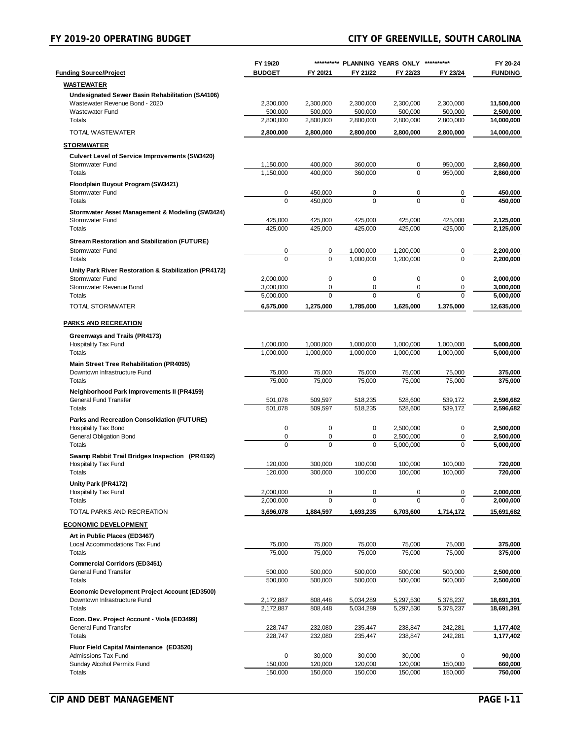# **FY 2019-20 OPERATING BUDGET CITY OF GREENVILLE, SOUTH CAROLINA**

|                                                                               | FY 19/20               |                      | ********** PLANNING YEARS ONLY ********** |                        |                      | FY 20-24                |
|-------------------------------------------------------------------------------|------------------------|----------------------|-------------------------------------------|------------------------|----------------------|-------------------------|
| <b>Funding Source/Project</b>                                                 | <b>BUDGET</b>          | FY 20/21             | FY 21/22                                  | FY 22/23               | FY 23/24             | <b>FUNDING</b>          |
| <b>WASTEWATER</b>                                                             |                        |                      |                                           |                        |                      |                         |
| Undesignated Sewer Basin Rehabilitation (SA4106)                              |                        |                      |                                           |                        |                      |                         |
| Wastewater Revenue Bond - 2020                                                | 2,300,000              | 2,300,000            | 2,300,000                                 | 2,300,000              | 2,300,000            | 11,500,000              |
| Wastewater Fund<br>Totals                                                     | 500,000                | 500,000<br>2,800,000 | 500,000<br>2,800,000                      | 500,000<br>2,800,000   | 500,000<br>2,800,000 | 2,500,000<br>14,000,000 |
|                                                                               | 2,800,000              |                      |                                           |                        |                      |                         |
| <b>TOTAL WASTEWATER</b>                                                       | 2,800,000              | 2,800,000            | 2,800,000                                 | 2,800,000              | 2,800,000            | 14,000,000              |
| <b>STORMWATER</b>                                                             |                        |                      |                                           |                        |                      |                         |
| <b>Culvert Level of Service Improvements (SW3420)</b>                         |                        |                      |                                           |                        |                      |                         |
| <b>Stormwater Fund</b><br>Totals                                              | 1,150,000<br>1.150.000 | 400,000<br>400.000   | 360,000<br>360,000                        | 0<br>$\Omega$          | 950,000<br>950,000   | 2,860,000<br>2.860.000  |
| Floodplain Buyout Program (SW3421)                                            |                        |                      |                                           |                        |                      |                         |
| Stormwater Fund                                                               | 0                      | 450,000              | 0                                         | 0                      | 0                    | 450,000                 |
| Totals                                                                        | $\Omega$               | 450,000              | $\Omega$                                  | $\Omega$               | 0                    | 450,000                 |
| Stormwater Asset Management & Modeling (SW3424)                               |                        |                      |                                           |                        |                      |                         |
| <b>Stormwater Fund</b>                                                        | 425,000                | 425,000              | 425,000                                   | 425,000                | 425,000              | 2,125,000               |
| Totals                                                                        | 425,000                | 425,000              | 425,000                                   | 425,000                | 425,000              | 2,125,000               |
| <b>Stream Restoration and Stabilization (FUTURE)</b>                          |                        |                      |                                           |                        |                      |                         |
| Stormwater Fund<br>Totals                                                     | 0<br>$\mathbf 0$       | 0<br>0               | 1,000,000<br>1,000,000                    | 1,200,000<br>1.200.000 | 0<br>$\mathbf 0$     | 2,200,000<br>2,200,000  |
|                                                                               |                        |                      |                                           |                        |                      |                         |
| Unity Park River Restoration & Stabilization (PR4172)<br>Stormwater Fund      | 2,000,000              | 0                    | $\pmb{0}$                                 | $\mathbf 0$            | 0                    | 2,000,000               |
| Stormwater Revenue Bond                                                       | 3,000,000              | 0                    | $\pmb{0}$                                 | 0                      | $\pmb{0}$            | 3,000,000               |
| Totals                                                                        | 5,000,000              | $\Omega$             | $\Omega$                                  | $\Omega$               | 0                    | 5,000,000               |
| <b>TOTAL STORMWATER</b>                                                       | 6,575,000              | 1,275,000            | 1,785,000                                 | 1.625.000              | 1,375,000            | 12,635,000              |
| <b>PARKS AND RECREATION</b>                                                   |                        |                      |                                           |                        |                      |                         |
| Greenways and Trails (PR4173)                                                 |                        |                      |                                           |                        |                      |                         |
| Hospitality Tax Fund                                                          | 1,000,000              | 1,000,000            | 1,000,000                                 | 1,000,000              | 1,000,000            | 5,000,000               |
| Totals                                                                        | 1,000,000              | 1,000,000            | 1,000,000                                 | 1,000,000              | 1,000,000            | 5,000,000               |
| <b>Main Street Tree Rehabilitation (PR4095)</b>                               |                        |                      |                                           |                        |                      |                         |
| Downtown Infrastructure Fund                                                  | 75,000<br>75,000       | 75,000<br>75,000     | 75,000<br>75,000                          | 75,000<br>75,000       | 75,000<br>75,000     | 375,000<br>375,000      |
| Totals                                                                        |                        |                      |                                           |                        |                      |                         |
| Neighborhood Park Improvements II (PR4159)<br>General Fund Transfer           | 501,078                | 509,597              | 518,235                                   | 528,600                | 539,172              | 2,596,682               |
| Totals                                                                        | 501,078                | 509,597              | 518,235                                   | 528,600                | 539,172              | 2,596,682               |
| Parks and Recreation Consolidation (FUTURE)                                   |                        |                      |                                           |                        |                      |                         |
| Hospitality Tax Bond                                                          | 0                      | 0                    | 0                                         | 2,500,000              | 0                    | 2,500,000               |
| <b>General Obligation Bond</b><br>Totals                                      | 0<br>$\Omega$          | 0<br>0               | 0<br>$\Omega$                             | 2,500,000<br>5,000,000 | 0<br>0               | 2,500,000<br>5,000,000  |
|                                                                               |                        |                      |                                           |                        |                      |                         |
| Swamp Rabbit Trail Bridges Inspection (PR4192)<br><b>Hospitality Tax Fund</b> | 120,000                | 300,000              | 100,000                                   | 100,000                | 100,000              | 720,000                 |
| Totals                                                                        | 120,000                | 300,000              | 100,000                                   | 100,000                | 100,000              | 720.000                 |
| Unity Park (PR4172)                                                           |                        |                      |                                           |                        |                      |                         |
| <b>Hospitality Tax Fund</b>                                                   | 2,000,000              | 0                    | 0                                         | 0                      | 0                    | 2,000,000               |
| <b>Totals</b>                                                                 | 2,000,000              | $\Omega$             | $\Omega$                                  | $\Omega$               | $\Omega$             | 2,000,000               |
| TOTAL PARKS AND RECREATION                                                    | 3,696,078              | 1,884,597            | 1,693,235                                 | 6,703,600              | 1,714,172            | 15,691,682              |
| <b>ECONOMIC DEVELOPMENT</b>                                                   |                        |                      |                                           |                        |                      |                         |
| Art in Public Places (ED3467)                                                 |                        |                      |                                           |                        |                      |                         |
| Local Accommodations Tax Fund<br>Totals                                       | 75,000<br>75,000       | 75,000<br>75,000     | 75,000<br>75,000                          | 75,000<br>75,000       | 75,000<br>75,000     | 375,000<br>375,000      |
| <b>Commercial Corridors (ED3451)</b>                                          |                        |                      |                                           |                        |                      |                         |
| <b>General Fund Transfer</b>                                                  | 500,000                | 500,000              | 500,000                                   | 500,000                | 500,000              | 2,500,000               |
| Totals                                                                        | 500,000                | 500,000              | 500,000                                   | 500,000                | 500,000              | 2,500,000               |
| Economic Development Project Account (ED3500)                                 |                        |                      |                                           |                        |                      |                         |
| Downtown Infrastructure Fund                                                  | 2,172,887              | 808,448              | 5,034,289                                 | 5,297,530              | 5,378,237            | 18,691,391              |
| Totals                                                                        | 2,172,887              | 808,448              | 5,034,289                                 | 5,297,530              | 5,378,237            | 18,691,391              |
| Econ. Dev. Project Account - Viola (ED3499)                                   |                        |                      |                                           |                        |                      |                         |
| General Fund Transfer<br><b>Totals</b>                                        | 228,747<br>228,747     | 232,080<br>232,080   | 235,447<br>235,447                        | 238,847<br>238,847     | 242,281<br>242,281   | 1,177,402<br>1,177,402  |
| Fluor Field Capital Maintenance (ED3520)                                      |                        |                      |                                           |                        |                      |                         |
| Admissions Tax Fund                                                           | 0                      | 30,000               | 30,000                                    | 30,000                 | 0                    | 90,000                  |
| Sunday Alcohol Permits Fund                                                   | 150,000                | 120,000              | 120,000                                   | 120,000                | 150,000              | 660,000                 |
| Totals                                                                        | 150,000                | 150,000              | 150,000                                   | 150,000                | 150,000              | 750,000                 |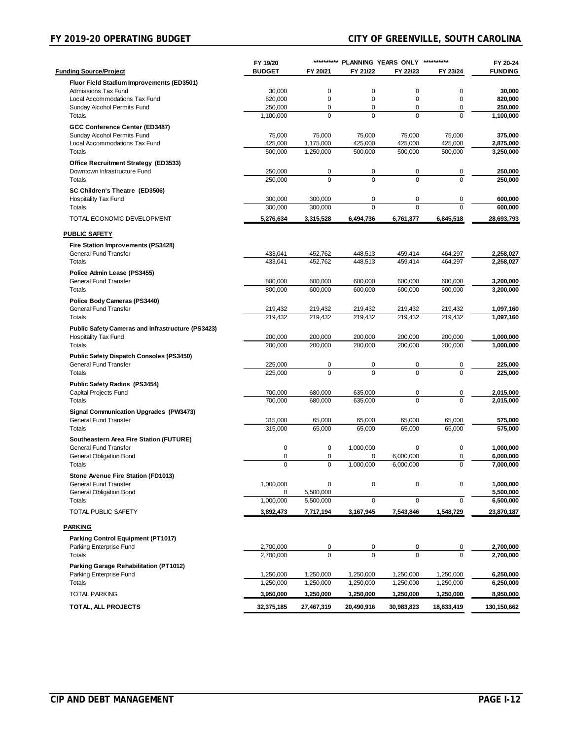|                                                   | FY 19/20      |             | ********** PLANNING YEARS ONLY |             | **********  | FY 20-24       |
|---------------------------------------------------|---------------|-------------|--------------------------------|-------------|-------------|----------------|
| <b>Funding Source/Project</b>                     | <b>BUDGET</b> | FY 20/21    | FY 21/22                       | FY 22/23    | FY 23/24    | <b>FUNDING</b> |
| Fluor Field Stadium Improvements (ED3501)         |               |             |                                |             |             |                |
| Admissions Tax Fund                               | 30,000        | 0           | 0                              | 0           | 0           | 30,000         |
| Local Accommodations Tax Fund                     | 820,000       | 0           | $\mathbf 0$                    | $\mathbf 0$ | $\mathbf 0$ | 820,000        |
| Sunday Alcohol Permits Fund                       | 250,000       | 0           | 0                              | 0           | $\mathbf 0$ | 250,000        |
| <b>Totals</b>                                     | 1,100,000     | $\Omega$    | $\Omega$                       | $\Omega$    | $\Omega$    | 1,100,000      |
| GCC Conference Center (ED3487)                    |               |             |                                |             |             |                |
| Sunday Alcohol Permits Fund                       | 75,000        | 75,000      | 75,000                         | 75,000      | 75,000      | 375,000        |
| Local Accommodations Tax Fund                     | 425,000       | 1,175,000   | 425,000                        | 425,000     | 425,000     | 2,875,000      |
| Totals                                            | 500.000       | 1,250,000   | 500,000                        | 500,000     | 500,000     | 3,250,000      |
| Office Recruitment Strategy (ED3533)              |               |             |                                |             |             |                |
| Downtown Infrastructure Fund                      | 250,000       | 0           | 0                              | 0           | 0           | 250,000        |
| Totals                                            | 250,000       | $\mathbf 0$ | $\mathbf 0$                    | $\mathbf 0$ | $\Omega$    | 250,000        |
| SC Children's Theatre (ED3506)                    |               |             |                                |             |             |                |
| Hospitality Tax Fund                              | 300,000       | 300,000     | 0                              | 0           | 0           | 600,000        |
| Totals                                            | 300,000       | 300,000     | $\mathbf 0$                    | $\Omega$    | $\Omega$    | 600,000        |
| TOTAL ECONOMIC DEVELOPMENT                        | 5,276,634     | 3,315,528   | 6,494,736                      | 6,761,377   | 6,845,518   | 28,693,793     |
|                                                   |               |             |                                |             |             |                |
| <b>PUBLIC SAFETY</b>                              |               |             |                                |             |             |                |
| Fire Station Improvements (PS3428)                |               |             |                                |             |             |                |
| <b>General Fund Transfer</b>                      | 433,041       | 452,762     | 448,513                        | 459,414     | 464,297     | 2,258,027      |
| Totals                                            | 433.041       | 452,762     | 448,513                        | 459,414     | 464,297     | 2,258,027      |
| Police Admin Lease (PS3455)                       |               |             |                                |             |             |                |
| <b>General Fund Transfer</b>                      | 800,000       | 600,000     | 600,000                        | 600,000     | 600,000     | 3,200,000      |
| Totals                                            | 800,000       | 600,000     | 600,000                        | 600,000     | 600,000     | 3.200.000      |
| Police Body Cameras (PS3440)                      |               |             |                                |             |             |                |
| <b>General Fund Transfer</b>                      | 219,432       | 219,432     | 219,432                        | 219,432     | 219,432     | 1,097,160      |
| Totals                                            | 219,432       | 219.432     | 219,432                        | 219.432     | 219,432     | 1,097,160      |
| Public Safety Cameras and Infrastructure (PS3423) |               |             |                                |             |             |                |
| <b>Hospitality Tax Fund</b>                       | 200,000       | 200,000     | 200,000                        | 200,000     | 200,000     | 1,000,000      |
| <b>Totals</b>                                     | 200,000       | 200,000     | 200,000                        | 200,000     | 200,000     | 1,000,000      |
| <b>Public Safety Dispatch Consoles (PS3450)</b>   |               |             |                                |             |             |                |
| <b>General Fund Transfer</b>                      | 225,000       | 0           | 0                              | 0           | 0           | 225,000        |
| Totals                                            | 225,000       | $\Omega$    | $\Omega$                       | $\Omega$    | $\Omega$    | 225,000        |
| Public Safety Radios (PS3454)                     |               |             |                                |             |             |                |
| Capital Projects Fund                             | 700,000       | 680,000     | 635,000                        | 0           | 0           | 2,015,000      |
| Totals                                            | 700,000       | 680,000     | 635,000                        | $\mathbf 0$ | $\Omega$    | 2,015,000      |
| <b>Signal Communication Upgrades (PW3473)</b>     |               |             |                                |             |             |                |
| <b>General Fund Transfer</b>                      | 315,000       | 65,000      | 65,000                         | 65,000      | 65,000      | 575,000        |
| Totals                                            | 315,000       | 65,000      | 65,000                         | 65.000      | 65,000      | 575,000        |
| Southeastern Area Fire Station (FUTURE)           |               |             |                                |             |             |                |
| <b>General Fund Transfer</b>                      | $\mathbf 0$   | $\mathbf 0$ | 1,000,000                      | 0           | $\mathbf 0$ | 1,000,000      |
| General Obligation Bond                           | 0             | 0           | 0                              | 6,000,000   | 0           | 6,000,000      |
| Totals                                            | 0             | $\mathbf 0$ | 1,000,000                      | 6,000,000   | $\Omega$    | 7,000,000      |
| Stone Avenue Fire Station (FD1013)                |               |             |                                |             |             |                |
| General Fund Transfer                             | 1,000,000     | 0           | 0                              | 0           | $\mathbf 0$ | 1,000,000      |
| <b>General Obligation Bond</b>                    | 0             | 5,500,000   |                                |             |             | 5,500,000      |
| <b>Totals</b>                                     | 1,000,000     | 5,500,000   | 0                              | 0           | $\mathsf 0$ | 6,500,000      |
| TOTAL PUBLIC SAFETY                               | 3,892,473     | 7,717,194   | 3,167,945                      | 7,543,846   | 1,548,729   | 23,870,187     |
|                                                   |               |             |                                |             |             |                |
| <b>PARKING</b>                                    |               |             |                                |             |             |                |
| Parking Control Equipment (PT1017)                |               |             |                                |             |             |                |
| Parking Enterprise Fund                           | 2,700,000     | 0           | 0                              | 0           | 0           | 2,700,000      |
| Totals                                            | 2,700,000     | $\mathbf 0$ | $\overline{0}$                 | $\Omega$    | $\Omega$    | 2,700,000      |
| Parking Garage Rehabilitation (PT1012)            |               |             |                                |             |             |                |
| Parking Enterprise Fund                           | 1,250,000     | 1,250,000   | 1,250,000                      | 1,250,000   | 1,250,000   | 6,250,000      |
| Totals                                            | 1,250,000     | 1,250,000   | 1,250,000                      | 1,250,000   | 1,250,000   | 6,250,000      |
| <b>TOTAL PARKING</b>                              | 3,950,000     | 1,250,000   | 1,250,000                      | 1,250,000   | 1,250,000   | 8,950,000      |
|                                                   |               |             |                                |             |             |                |
| TOTAL, ALL PROJECTS                               | 32,375,185    | 27,467,319  | 20,490,916                     | 30,983,823  | 18,833,419  | 130,150,662    |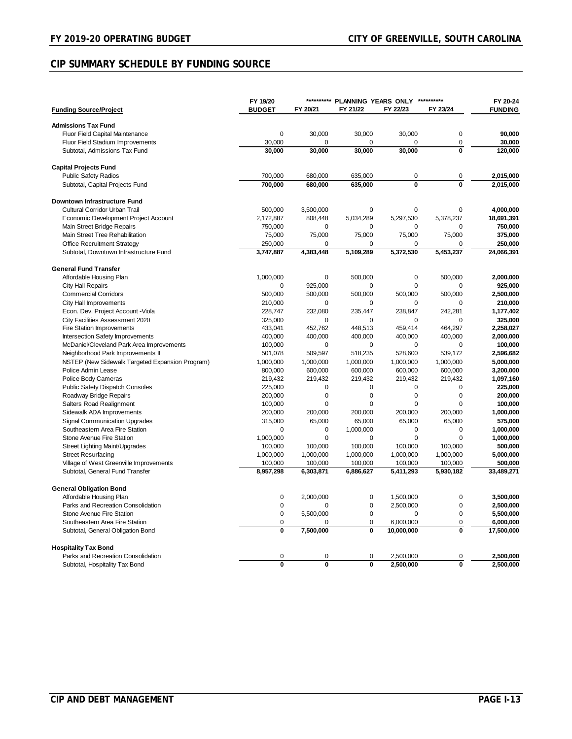## **CIP SUMMARY SCHEDULE BY FUNDING SOURCE**

|                                                                   | FY 19/20                | **********              | PLANNING YEARS ONLY ********** |                         |                         | FY 20-24       |
|-------------------------------------------------------------------|-------------------------|-------------------------|--------------------------------|-------------------------|-------------------------|----------------|
| <b>Funding Source/Project</b>                                     | <b>BUDGET</b>           | FY 20/21                | FY 21/22                       | FY 22/23                | FY 23/24                | <b>FUNDING</b> |
| <b>Admissions Tax Fund</b>                                        |                         |                         |                                |                         |                         |                |
| Fluor Field Capital Maintenance                                   | $\mathbf 0$             | 30,000                  | 30,000                         | 30,000                  | 0                       | 90,000         |
| Fluor Field Stadium Improvements                                  | 30,000                  | $\Omega$                | $\Omega$                       | 0                       | 0                       | 30,000         |
| Subtotal, Admissions Tax Fund                                     | 30.000                  | 30,000                  | 30,000                         | 30,000                  | $\overline{\mathbf{0}}$ | 120,000        |
| <b>Capital Projects Fund</b>                                      |                         |                         |                                |                         |                         |                |
| <b>Public Safety Radios</b>                                       | 700,000                 | 680,000                 | 635,000                        | 0                       | 0                       | 2,015,000      |
| Subtotal, Capital Projects Fund                                   | 700,000                 | 680,000                 | 635,000                        | $\overline{\mathbf{0}}$ | $\overline{\mathbf{0}}$ | 2,015,000      |
|                                                                   |                         |                         |                                |                         |                         |                |
| Downtown Infrastructure Fund                                      |                         |                         |                                |                         |                         |                |
| <b>Cultural Corridor Urban Trail</b>                              | 500,000                 | 3,500,000               | 0                              | 0                       | 0                       | 4,000,000      |
| Economic Development Project Account                              | 2,172,887               | 808,448                 | 5,034,289                      | 5,297,530               | 5,378,237               | 18,691,391     |
| Main Street Bridge Repairs                                        | 750,000                 | 0                       | $\mathbf 0$                    | 0                       | 0                       | 750,000        |
| Main Street Tree Rehabilitation                                   | 75,000                  | 75,000                  | 75,000                         | 75,000                  | 75,000                  | 375,000        |
| <b>Office Recruitment Strategy</b>                                | 250,000                 | 0                       | 0                              | 0                       | 0                       | 250,000        |
| Subtotal, Downtown Infrastructure Fund                            | 3,747,887               | 4,383,448               | 5,109,289                      | 5,372,530               | 5,453,237               | 24,066,391     |
| <b>General Fund Transfer</b>                                      |                         |                         |                                |                         |                         |                |
| Affordable Housing Plan                                           | 1,000,000               | 0                       | 500,000                        | 0                       | 500,000                 | 2,000,000      |
| <b>City Hall Repairs</b>                                          | $\mathbf 0$             | 925,000                 | $\mathbf 0$                    | $\overline{0}$          | 0                       | 925,000        |
| <b>Commercial Corridors</b>                                       | 500,000                 | 500,000                 | 500,000                        | 500,000                 | 500,000                 | 2,500,000      |
| City Hall Improvements                                            | 210,000                 | 0                       | 0                              | 0                       | 0                       | 210,000        |
| Econ. Dev. Project Account - Viola                                | 228,747                 | 232,080                 | 235,447                        | 238,847                 | 242,281                 | 1,177,402      |
| City Facilities Assessment 2020                                   | 325,000                 | 0                       | $\mathbf 0$                    | 0                       | 0                       | 325,000        |
| Fire Station Improvements                                         | 433,041                 | 452,762                 | 448,513                        | 459,414                 | 464,297                 | 2,258,027      |
| <b>Intersection Safety Improvements</b>                           | 400,000                 | 400,000                 | 400,000                        | 400,000                 | 400,000                 | 2,000,000      |
| McDaniel/Cleveland Park Area Improvements                         | 100,000                 | 0                       | 0                              | 0                       | 0                       | 100,000        |
| Neighborhood Park Improvements II                                 | 501,078                 | 509,597                 | 518,235                        | 528,600                 | 539,172                 | 2,596,682      |
| NSTEP (New Sidewalk Targeted Expansion Program)                   | 1,000,000               | 1,000,000               | 1,000,000                      | 1,000,000               | 1,000,000               | 5,000,000      |
| Police Admin Lease                                                | 800,000                 | 600,000                 | 600,000                        | 600,000                 | 600,000                 | 3,200,000      |
| Police Body Cameras                                               | 219,432                 | 219,432                 | 219,432                        | 219,432                 | 219,432                 | 1,097,160      |
| <b>Public Safety Dispatch Consoles</b>                            | 225,000                 | 0                       | 0                              | 0                       | $\mathbf 0$             | 225,000        |
| Roadway Bridge Repairs                                            | 200,000                 | 0                       | $\mathbf 0$                    | 0                       | $\mathbf 0$             | 200,000        |
| Salters Road Realignment                                          | 100,000                 | $\Omega$                | 0                              | 0                       | $\Omega$                | 100,000        |
| Sidewalk ADA Improvements                                         | 200,000                 | 200,000                 | 200,000                        | 200,000                 | 200,000                 | 1,000,000      |
| Signal Communication Upgrades                                     | 315,000                 | 65,000                  | 65,000                         | 65,000                  | 65,000                  | 575,000        |
| Southeastern Area Fire Station                                    | $\mathbf 0$             | 0                       | 1,000,000                      | 0                       | 0                       | 1,000,000      |
| Stone Avenue Fire Station                                         | 1,000,000               | $\mathbf 0$             | $\mathbf 0$                    | 0                       | $\mathbf 0$             | 1,000,000      |
| <b>Street Lighting Maint/Upgrades</b>                             | 100,000                 | 100,000                 | 100,000                        | 100,000                 | 100,000                 | 500,000        |
| <b>Street Resurfacing</b>                                         | 1,000,000               | 1,000,000               | 1,000,000                      | 1,000,000               | 1,000,000               | 5,000,000      |
| Village of West Greenville Improvements                           | 100,000                 | 100,000                 | 100,000                        | 100,000                 | 100,000                 | 500,000        |
| Subtotal, General Fund Transfer                                   | 8,957,298               | 6,303,871               | 6,886,627                      | 5,411,293               | 5,930,182               | 33,489,271     |
| <b>General Obligation Bond</b>                                    |                         |                         |                                |                         |                         |                |
| Affordable Housing Plan                                           | 0                       | 2,000,000               | $\mathbf 0$                    | 1,500,000               | 0                       | 3,500,000      |
| Parks and Recreation Consolidation                                | 0                       | 0                       | $\mathbf 0$                    | 2,500,000               | 0                       | 2,500,000      |
| <b>Stone Avenue Fire Station</b>                                  | 0                       | 5,500,000               | $\mathbf 0$                    | 0                       | 0                       | 5,500,000      |
| Southeastern Area Fire Station                                    | 0                       |                         | 0                              | 6,000,000               | $\mathbf 0$             | 6,000,000      |
| Subtotal, General Obligation Bond                                 | $\overline{\mathbf{0}}$ | 7,500,000               | $\overline{\mathbf{0}}$        | 10,000,000              | $\overline{\mathbf{0}}$ | 17,500,000     |
|                                                                   |                         |                         |                                |                         |                         |                |
| <b>Hospitality Tax Bond</b><br>Parks and Recreation Consolidation | 0                       | 0                       | 0                              | 2,500,000               | 0                       | 2,500,000      |
| Subtotal, Hospitality Tax Bond                                    | $\overline{\mathbf{0}}$ | $\overline{\mathbf{0}}$ | $\bf{0}$                       | 2,500,000               | $\overline{\mathbf{0}}$ | 2,500,000      |
|                                                                   |                         |                         |                                |                         |                         |                |